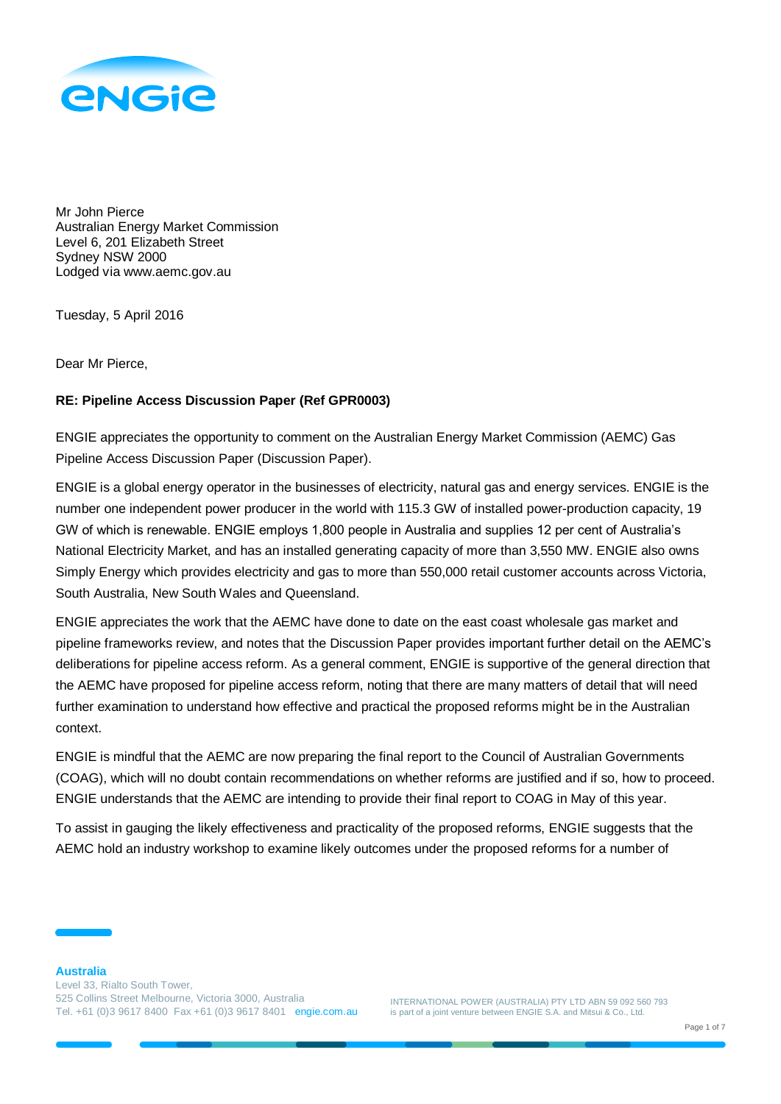

Mr John Pierce Australian Energy Market Commission Level 6, 201 Elizabeth Street Sydney NSW 2000 Lodged via www.aemc.gov.au

Tuesday, 5 April 2016

Dear Mr Pierce,

#### **RE: Pipeline Access Discussion Paper (Ref GPR0003)**

ENGIE appreciates the opportunity to comment on the Australian Energy Market Commission (AEMC) Gas Pipeline Access Discussion Paper (Discussion Paper).

ENGIE is a global energy operator in the businesses of electricity, natural gas and energy services. ENGIE is the number one independent power producer in the world with 115.3 GW of installed power-production capacity, 19 GW of which is renewable. ENGIE employs 1,800 people in Australia and supplies 12 per cent of Australia's National Electricity Market, and has an installed generating capacity of more than 3,550 MW. ENGIE also owns Simply Energy which provides electricity and gas to more than 550,000 retail customer accounts across Victoria, South Australia, New South Wales and Queensland.

ENGIE appreciates the work that the AEMC have done to date on the east coast wholesale gas market and pipeline frameworks review, and notes that the Discussion Paper provides important further detail on the AEMC's deliberations for pipeline access reform. As a general comment, ENGIE is supportive of the general direction that the AEMC have proposed for pipeline access reform, noting that there are many matters of detail that will need further examination to understand how effective and practical the proposed reforms might be in the Australian context.

ENGIE is mindful that the AEMC are now preparing the final report to the Council of Australian Governments (COAG), which will no doubt contain recommendations on whether reforms are justified and if so, how to proceed. ENGIE understands that the AEMC are intending to provide their final report to COAG in May of this year.

To assist in gauging the likely effectiveness and practicality of the proposed reforms, ENGIE suggests that the AEMC hold an industry workshop to examine likely outcomes under the proposed reforms for a number of

INTERNATIONAL POWER (AUSTRALIA) PTY LTD ABN 59 092 560 793 is part of a joint venture between ENGIE S.A. and Mitsui & Co., Ltd.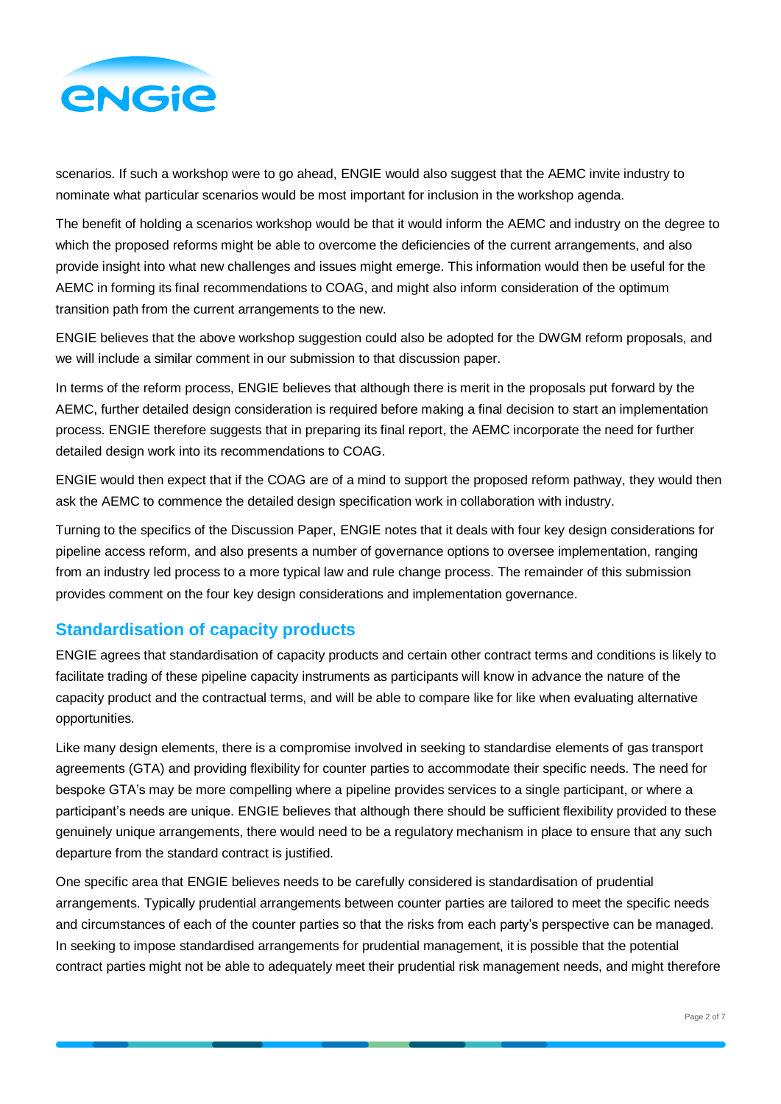

scenarios. If such a workshop were to go ahead, ENGIE would also suggest that the AEMC invite industry to nominate what particular scenarios would be most important for inclusion in the workshop agenda.

The benefit of holding a scenarios workshop would be that it would inform the AEMC and industry on the degree to which the proposed reforms might be able to overcome the deficiencies of the current arrangements, and also provide insight into what new challenges and issues might emerge. This information would then be useful for the AEMC in forming its final recommendations to COAG, and might also inform consideration of the optimum transition path from the current arrangements to the new.

ENGIE believes that the above workshop suggestion could also be adopted for the DWGM reform proposals, and we will include a similar comment in our submission to that discussion paper.

In terms of the reform process, ENGIE believes that although there is merit in the proposals put forward by the AEMC, further detailed design consideration is required before making a final decision to start an implementation process. ENGIE therefore suggests that in preparing its final report, the AEMC incorporate the need for further detailed design work into its recommendations to COAG.

ENGIE would then expect that if the COAG are of a mind to support the proposed reform pathway, they would then ask the AEMC to commence the detailed design specification work in collaboration with industry.

Turning to the specifics of the Discussion Paper, ENGIE notes that it deals with four key design considerations for pipeline access reform, and also presents a number of governance options to oversee implementation, ranging from an industry led process to a more typical law and rule change process. The remainder of this submission provides comment on the four key design considerations and implementation governance.

# **Standardisation of capacity products**

ENGIE agrees that standardisation of capacity products and certain other contract terms and conditions is likely to facilitate trading of these pipeline capacity instruments as participants will know in advance the nature of the capacity product and the contractual terms, and will be able to compare like for like when evaluating alternative opportunities.

Like many design elements, there is a compromise involved in seeking to standardise elements of gas transport agreements (GTA) and providing flexibility for counter parties to accommodate their specific needs. The need for bespoke GTA's may be more compelling where a pipeline provides services to a single participant, or where a participant's needs are unique. ENGIE believes that although there should be sufficient flexibility provided to these genuinely unique arrangements, there would need to be a regulatory mechanism in place to ensure that any such departure from the standard contract is justified.

One specific area that ENGIE believes needs to be carefully considered is standardisation of prudential arrangements. Typically prudential arrangements between counter parties are tailored to meet the specific needs and circumstances of each of the counter parties so that the risks from each party's perspective can be managed. In seeking to impose standardised arrangements for prudential management, it is possible that the potential contract parties might not be able to adequately meet their prudential risk management needs, and might therefore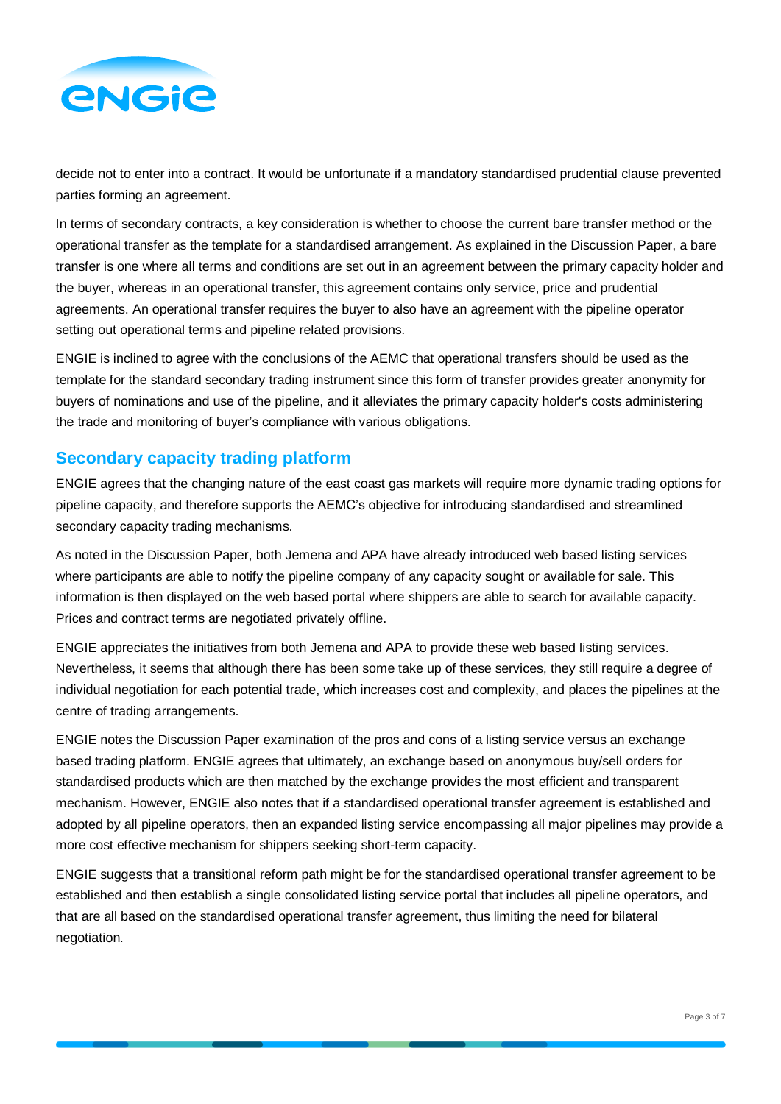

decide not to enter into a contract. It would be unfortunate if a mandatory standardised prudential clause prevented parties forming an agreement.

In terms of secondary contracts, a key consideration is whether to choose the current bare transfer method or the operational transfer as the template for a standardised arrangement. As explained in the Discussion Paper, a bare transfer is one where all terms and conditions are set out in an agreement between the primary capacity holder and the buyer, whereas in an operational transfer, this agreement contains only service, price and prudential agreements. An operational transfer requires the buyer to also have an agreement with the pipeline operator setting out operational terms and pipeline related provisions.

ENGIE is inclined to agree with the conclusions of the AEMC that operational transfers should be used as the template for the standard secondary trading instrument since this form of transfer provides greater anonymity for buyers of nominations and use of the pipeline, and it alleviates the primary capacity holder's costs administering the trade and monitoring of buyer's compliance with various obligations.

## **Secondary capacity trading platform**

ENGIE agrees that the changing nature of the east coast gas markets will require more dynamic trading options for pipeline capacity, and therefore supports the AEMC's objective for introducing standardised and streamlined secondary capacity trading mechanisms.

As noted in the Discussion Paper, both Jemena and APA have already introduced web based listing services where participants are able to notify the pipeline company of any capacity sought or available for sale. This information is then displayed on the web based portal where shippers are able to search for available capacity. Prices and contract terms are negotiated privately offline.

ENGIE appreciates the initiatives from both Jemena and APA to provide these web based listing services. Nevertheless, it seems that although there has been some take up of these services, they still require a degree of individual negotiation for each potential trade, which increases cost and complexity, and places the pipelines at the centre of trading arrangements.

ENGIE notes the Discussion Paper examination of the pros and cons of a listing service versus an exchange based trading platform. ENGIE agrees that ultimately, an exchange based on anonymous buy/sell orders for standardised products which are then matched by the exchange provides the most efficient and transparent mechanism. However, ENGIE also notes that if a standardised operational transfer agreement is established and adopted by all pipeline operators, then an expanded listing service encompassing all major pipelines may provide a more cost effective mechanism for shippers seeking short-term capacity.

ENGIE suggests that a transitional reform path might be for the standardised operational transfer agreement to be established and then establish a single consolidated listing service portal that includes all pipeline operators, and that are all based on the standardised operational transfer agreement, thus limiting the need for bilateral negotiation.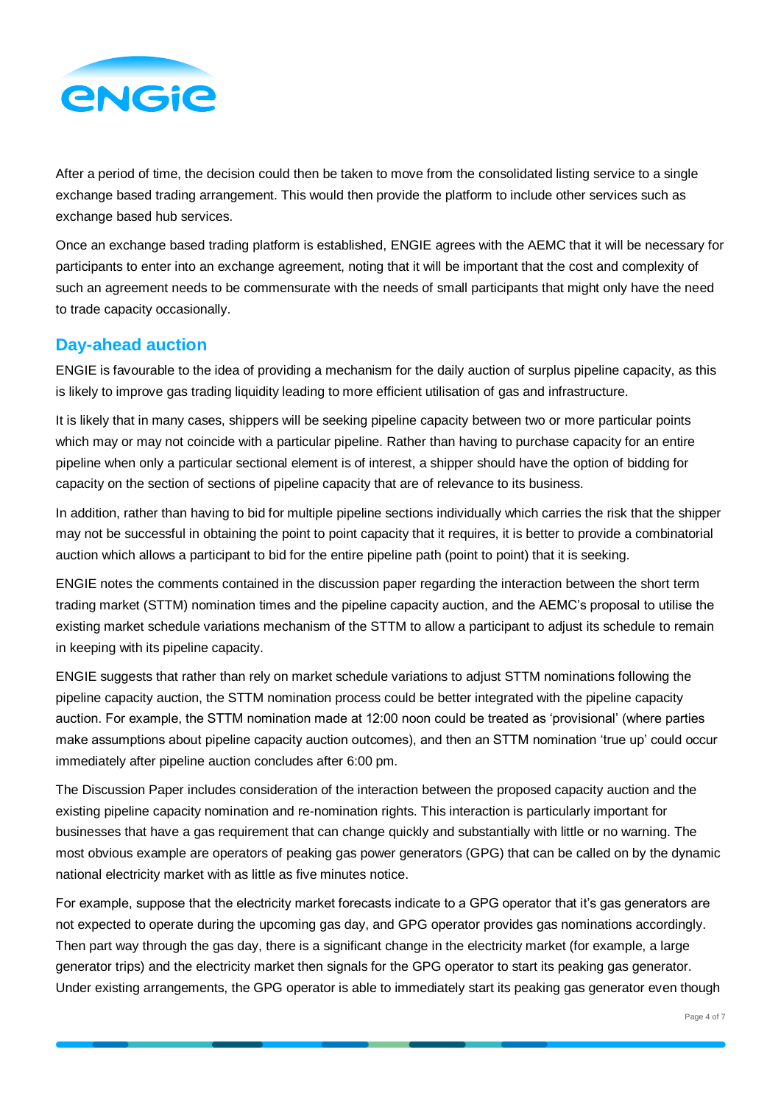

After a period of time, the decision could then be taken to move from the consolidated listing service to a single exchange based trading arrangement. This would then provide the platform to include other services such as exchange based hub services.

Once an exchange based trading platform is established, ENGIE agrees with the AEMC that it will be necessary for participants to enter into an exchange agreement, noting that it will be important that the cost and complexity of such an agreement needs to be commensurate with the needs of small participants that might only have the need to trade capacity occasionally.

## **Day-ahead auction**

ENGIE is favourable to the idea of providing a mechanism for the daily auction of surplus pipeline capacity, as this is likely to improve gas trading liquidity leading to more efficient utilisation of gas and infrastructure.

It is likely that in many cases, shippers will be seeking pipeline capacity between two or more particular points which may or may not coincide with a particular pipeline. Rather than having to purchase capacity for an entire pipeline when only a particular sectional element is of interest, a shipper should have the option of bidding for capacity on the section of sections of pipeline capacity that are of relevance to its business.

In addition, rather than having to bid for multiple pipeline sections individually which carries the risk that the shipper may not be successful in obtaining the point to point capacity that it requires, it is better to provide a combinatorial auction which allows a participant to bid for the entire pipeline path (point to point) that it is seeking.

ENGIE notes the comments contained in the discussion paper regarding the interaction between the short term trading market (STTM) nomination times and the pipeline capacity auction, and the AEMC's proposal to utilise the existing market schedule variations mechanism of the STTM to allow a participant to adjust its schedule to remain in keeping with its pipeline capacity.

ENGIE suggests that rather than rely on market schedule variations to adjust STTM nominations following the pipeline capacity auction, the STTM nomination process could be better integrated with the pipeline capacity auction. For example, the STTM nomination made at 12:00 noon could be treated as 'provisional' (where parties make assumptions about pipeline capacity auction outcomes), and then an STTM nomination 'true up' could occur immediately after pipeline auction concludes after 6:00 pm.

The Discussion Paper includes consideration of the interaction between the proposed capacity auction and the existing pipeline capacity nomination and re-nomination rights. This interaction is particularly important for businesses that have a gas requirement that can change quickly and substantially with little or no warning. The most obvious example are operators of peaking gas power generators (GPG) that can be called on by the dynamic national electricity market with as little as five minutes notice.

For example, suppose that the electricity market forecasts indicate to a GPG operator that it's gas generators are not expected to operate during the upcoming gas day, and GPG operator provides gas nominations accordingly. Then part way through the gas day, there is a significant change in the electricity market (for example, a large generator trips) and the electricity market then signals for the GPG operator to start its peaking gas generator. Under existing arrangements, the GPG operator is able to immediately start its peaking gas generator even though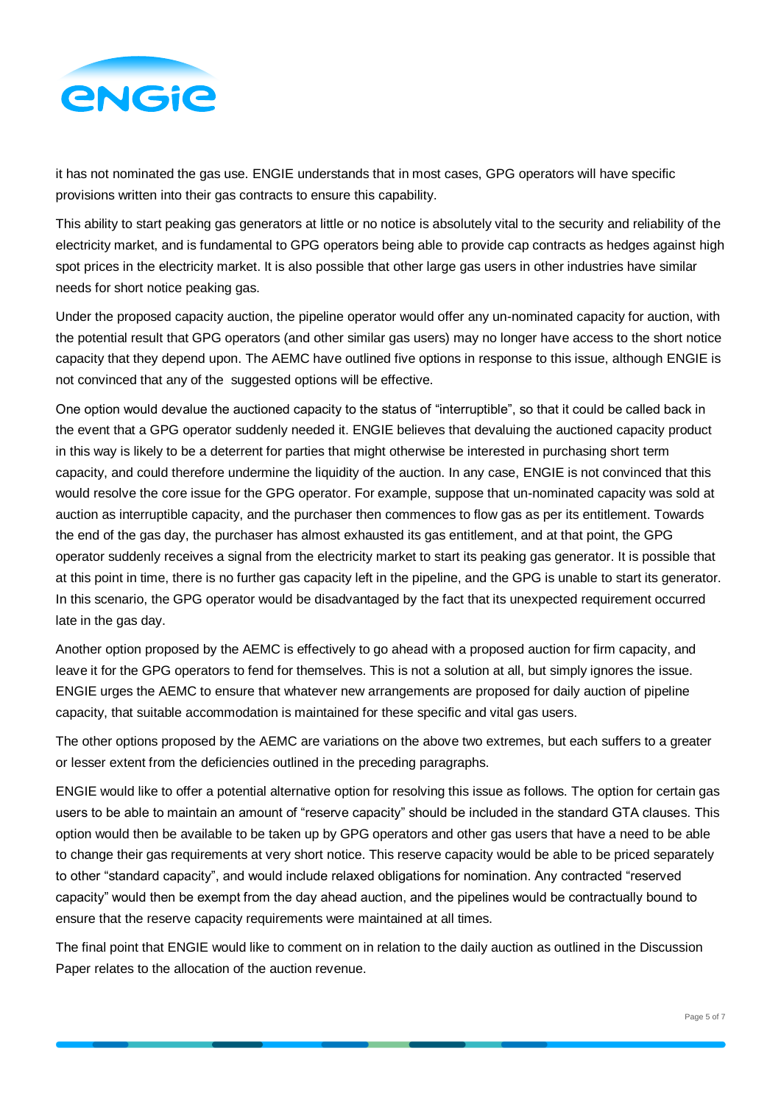

it has not nominated the gas use. ENGIE understands that in most cases, GPG operators will have specific provisions written into their gas contracts to ensure this capability.

This ability to start peaking gas generators at little or no notice is absolutely vital to the security and reliability of the electricity market, and is fundamental to GPG operators being able to provide cap contracts as hedges against high spot prices in the electricity market. It is also possible that other large gas users in other industries have similar needs for short notice peaking gas.

Under the proposed capacity auction, the pipeline operator would offer any un-nominated capacity for auction, with the potential result that GPG operators (and other similar gas users) may no longer have access to the short notice capacity that they depend upon. The AEMC have outlined five options in response to this issue, although ENGIE is not convinced that any of the suggested options will be effective.

One option would devalue the auctioned capacity to the status of "interruptible", so that it could be called back in the event that a GPG operator suddenly needed it. ENGIE believes that devaluing the auctioned capacity product in this way is likely to be a deterrent for parties that might otherwise be interested in purchasing short term capacity, and could therefore undermine the liquidity of the auction. In any case, ENGIE is not convinced that this would resolve the core issue for the GPG operator. For example, suppose that un-nominated capacity was sold at auction as interruptible capacity, and the purchaser then commences to flow gas as per its entitlement. Towards the end of the gas day, the purchaser has almost exhausted its gas entitlement, and at that point, the GPG operator suddenly receives a signal from the electricity market to start its peaking gas generator. It is possible that at this point in time, there is no further gas capacity left in the pipeline, and the GPG is unable to start its generator. In this scenario, the GPG operator would be disadvantaged by the fact that its unexpected requirement occurred late in the gas day.

Another option proposed by the AEMC is effectively to go ahead with a proposed auction for firm capacity, and leave it for the GPG operators to fend for themselves. This is not a solution at all, but simply ignores the issue. ENGIE urges the AEMC to ensure that whatever new arrangements are proposed for daily auction of pipeline capacity, that suitable accommodation is maintained for these specific and vital gas users.

The other options proposed by the AEMC are variations on the above two extremes, but each suffers to a greater or lesser extent from the deficiencies outlined in the preceding paragraphs.

ENGIE would like to offer a potential alternative option for resolving this issue as follows. The option for certain gas users to be able to maintain an amount of "reserve capacity" should be included in the standard GTA clauses. This option would then be available to be taken up by GPG operators and other gas users that have a need to be able to change their gas requirements at very short notice. This reserve capacity would be able to be priced separately to other "standard capacity", and would include relaxed obligations for nomination. Any contracted "reserved capacity" would then be exempt from the day ahead auction, and the pipelines would be contractually bound to ensure that the reserve capacity requirements were maintained at all times.

The final point that ENGIE would like to comment on in relation to the daily auction as outlined in the Discussion Paper relates to the allocation of the auction revenue.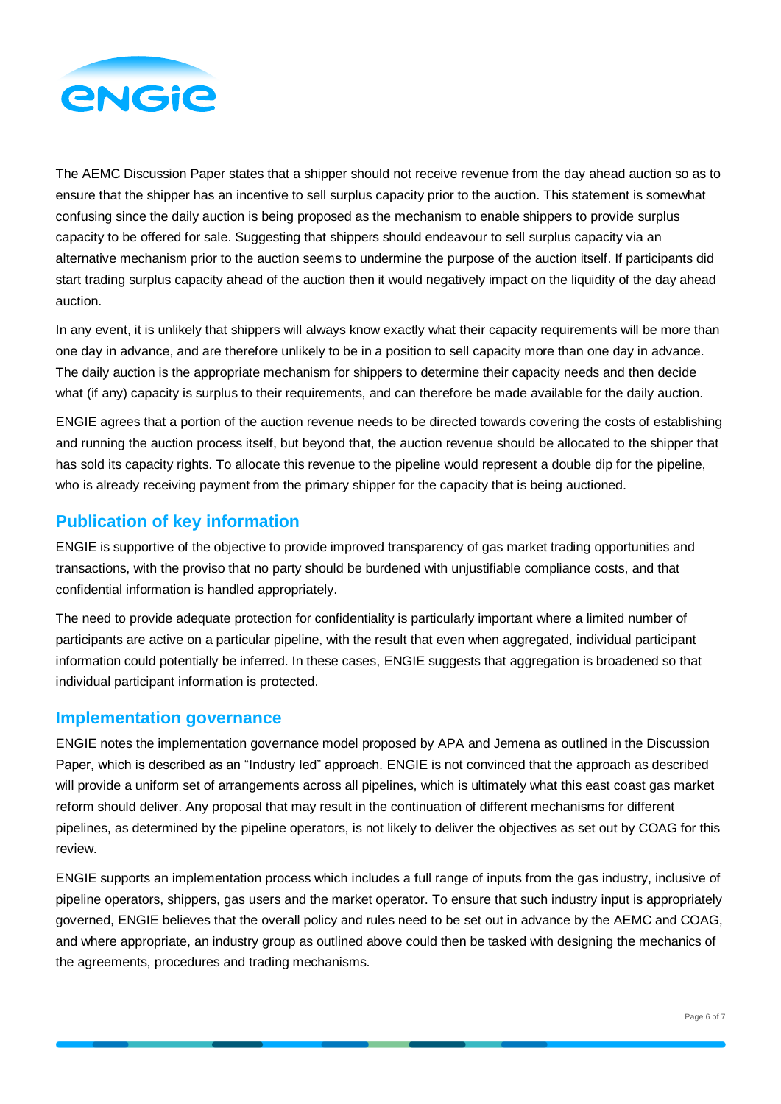

The AEMC Discussion Paper states that a shipper should not receive revenue from the day ahead auction so as to ensure that the shipper has an incentive to sell surplus capacity prior to the auction. This statement is somewhat confusing since the daily auction is being proposed as the mechanism to enable shippers to provide surplus capacity to be offered for sale. Suggesting that shippers should endeavour to sell surplus capacity via an alternative mechanism prior to the auction seems to undermine the purpose of the auction itself. If participants did start trading surplus capacity ahead of the auction then it would negatively impact on the liquidity of the day ahead auction.

In any event, it is unlikely that shippers will always know exactly what their capacity requirements will be more than one day in advance, and are therefore unlikely to be in a position to sell capacity more than one day in advance. The daily auction is the appropriate mechanism for shippers to determine their capacity needs and then decide what (if any) capacity is surplus to their requirements, and can therefore be made available for the daily auction.

ENGIE agrees that a portion of the auction revenue needs to be directed towards covering the costs of establishing and running the auction process itself, but beyond that, the auction revenue should be allocated to the shipper that has sold its capacity rights. To allocate this revenue to the pipeline would represent a double dip for the pipeline, who is already receiving payment from the primary shipper for the capacity that is being auctioned.

# **Publication of key information**

ENGIE is supportive of the objective to provide improved transparency of gas market trading opportunities and transactions, with the proviso that no party should be burdened with unjustifiable compliance costs, and that confidential information is handled appropriately.

The need to provide adequate protection for confidentiality is particularly important where a limited number of participants are active on a particular pipeline, with the result that even when aggregated, individual participant information could potentially be inferred. In these cases, ENGIE suggests that aggregation is broadened so that individual participant information is protected.

#### **Implementation governance**

ENGIE notes the implementation governance model proposed by APA and Jemena as outlined in the Discussion Paper, which is described as an "Industry led" approach. ENGIE is not convinced that the approach as described will provide a uniform set of arrangements across all pipelines, which is ultimately what this east coast gas market reform should deliver. Any proposal that may result in the continuation of different mechanisms for different pipelines, as determined by the pipeline operators, is not likely to deliver the objectives as set out by COAG for this review.

ENGIE supports an implementation process which includes a full range of inputs from the gas industry, inclusive of pipeline operators, shippers, gas users and the market operator. To ensure that such industry input is appropriately governed, ENGIE believes that the overall policy and rules need to be set out in advance by the AEMC and COAG, and where appropriate, an industry group as outlined above could then be tasked with designing the mechanics of the agreements, procedures and trading mechanisms.